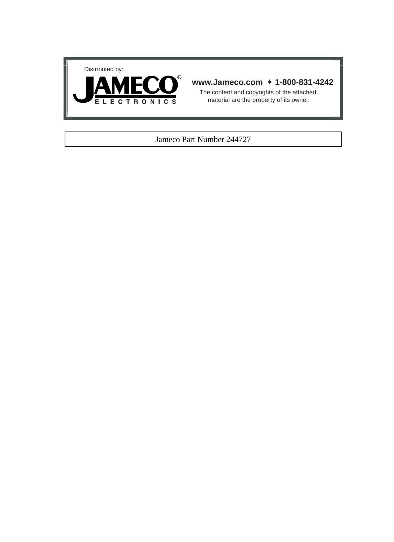



#### **www.Jameco.com** ✦ **1-800-831-4242**

The content and copyrights of the attached material are the property of its owner.

#### Jameco Part Number 244727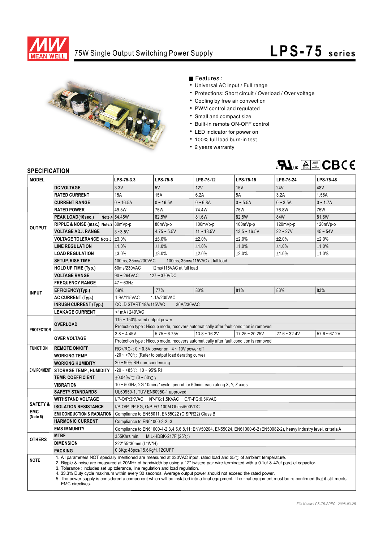

### 75W Single Output Switching Power Supply

# **LPS-75** series



Features :

- Universal AC input / Full range
- Protections: Short circuit / Overload / Over voltage
- Cooling by free air convection
- PWM control and regulated
- Small and compact size
- Built-in remote ON-OFF control
- LED indicator for power on
- 100% full load burn-in test
- 2 years warranty



#### **SPECIFICATION**

| יוטו השכו ווטבו וע<br><b>MODEL</b> |                                       | LPS-75-3.3                                                                                                                                                                                                                                                                                                                                                                                                                                                                                                                                                                                                                     | <b>LPS-75-5</b>                                              | LPS-75-12                                                                              | LPS-75-15                                                                                                            | LPS-75-24      | LPS-75-48      |  |
|------------------------------------|---------------------------------------|--------------------------------------------------------------------------------------------------------------------------------------------------------------------------------------------------------------------------------------------------------------------------------------------------------------------------------------------------------------------------------------------------------------------------------------------------------------------------------------------------------------------------------------------------------------------------------------------------------------------------------|--------------------------------------------------------------|----------------------------------------------------------------------------------------|----------------------------------------------------------------------------------------------------------------------|----------------|----------------|--|
|                                    | <b>DC VOLTAGE</b>                     | 3.3V                                                                                                                                                                                                                                                                                                                                                                                                                                                                                                                                                                                                                           | 5V                                                           | 12V                                                                                    | 15V                                                                                                                  | <b>24V</b>     | 48V            |  |
|                                    | <b>RATED CURRENT</b>                  | <b>15A</b>                                                                                                                                                                                                                                                                                                                                                                                                                                                                                                                                                                                                                     | <b>15A</b>                                                   | 6.2A                                                                                   | 5A                                                                                                                   | 3.2A           | 1.56A          |  |
|                                    | <b>CURRENT RANGE</b>                  | $0 - 16.5A$                                                                                                                                                                                                                                                                                                                                                                                                                                                                                                                                                                                                                    | $0 - 16.5A$                                                  | $0 - 6.8A$                                                                             | $0 - 5.5A$                                                                                                           | $0 - 3.5A$     | $0 - 1.7A$     |  |
|                                    | <b>RATED POWER</b>                    | 49.5W                                                                                                                                                                                                                                                                                                                                                                                                                                                                                                                                                                                                                          | <b>75W</b>                                                   | 74.4W                                                                                  | <b>75W</b>                                                                                                           | 76.8W          | <b>75W</b>     |  |
|                                    | PEAK LOAD(10sec.)                     | Note.4 54.45W                                                                                                                                                                                                                                                                                                                                                                                                                                                                                                                                                                                                                  | 82.5W                                                        | 81.6W                                                                                  | 82.5W                                                                                                                | 84W            | 81.6W          |  |
|                                    | RIPPLE & NOISE (max.) Note.2 80mVp-p  |                                                                                                                                                                                                                                                                                                                                                                                                                                                                                                                                                                                                                                | 80mVp-p                                                      | 100mVp-p                                                                               | 100mVp-p                                                                                                             | 120mVp-p       | 120mVp-p       |  |
| <b>OUTPUT</b>                      | <b>VOLTAGE ADJ. RANGE</b>             | $3 - 3.5V$                                                                                                                                                                                                                                                                                                                                                                                                                                                                                                                                                                                                                     | $4.75 - 5.5V$                                                | $11 - 13.5V$                                                                           | $13.5 - 16.5V$                                                                                                       | $22 - 27V$     | $45 - 54V$     |  |
|                                    | <b>VOLTAGE TOLERANCE Note.3</b>       | ±3.0%                                                                                                                                                                                                                                                                                                                                                                                                                                                                                                                                                                                                                          | ±3.0%                                                        | ±2.0%                                                                                  | $+2.0%$                                                                                                              | ±2.0%          | ±2.0%          |  |
|                                    | <b>LINE REGULATION</b>                | ±1.0%                                                                                                                                                                                                                                                                                                                                                                                                                                                                                                                                                                                                                          | ±1.0%                                                        | $\pm 1.0\%$                                                                            | ±1.0%                                                                                                                | ±1.0%          | ±1.0%          |  |
|                                    | <b>LOAD REGULATION</b>                | ±3.0%                                                                                                                                                                                                                                                                                                                                                                                                                                                                                                                                                                                                                          | ±3.0%                                                        | ±2.0%                                                                                  | ±2.0%                                                                                                                | ±1.0%          | ±1.0%          |  |
|                                    | <b>SETUP, RISE TIME</b>               | 100ms, 35ms/230VAC                                                                                                                                                                                                                                                                                                                                                                                                                                                                                                                                                                                                             |                                                              | 100ms, 35ms/115VAC at full load                                                        |                                                                                                                      |                |                |  |
|                                    | <b>HOLD UP TIME (Typ.)</b>            | 60ms/230VAC                                                                                                                                                                                                                                                                                                                                                                                                                                                                                                                                                                                                                    | 12ms/115VAC at full load                                     |                                                                                        |                                                                                                                      |                |                |  |
|                                    | <b>VOLTAGE RANGE</b>                  | $90 - 264$ VAC                                                                                                                                                                                                                                                                                                                                                                                                                                                                                                                                                                                                                 | $127 - 370$ VDC                                              |                                                                                        |                                                                                                                      |                |                |  |
|                                    | <b>FREQUENCY RANGE</b>                | $47 \sim 63$ Hz                                                                                                                                                                                                                                                                                                                                                                                                                                                                                                                                                                                                                |                                                              |                                                                                        |                                                                                                                      |                |                |  |
|                                    | EFFICIENCY(Typ.)                      | 69%                                                                                                                                                                                                                                                                                                                                                                                                                                                                                                                                                                                                                            | 77%                                                          | 80%                                                                                    | 81%                                                                                                                  | 83%            | 83%            |  |
| <b>INPUT</b>                       | <b>AC CURRENT (Typ.)</b>              | 1.9A/115VAC                                                                                                                                                                                                                                                                                                                                                                                                                                                                                                                                                                                                                    | 1.1A/230VAC                                                  |                                                                                        |                                                                                                                      |                |                |  |
|                                    | <b>INRUSH CURRENT (Typ.)</b>          | COLD START 18A/115VAC<br>36A/230VAC                                                                                                                                                                                                                                                                                                                                                                                                                                                                                                                                                                                            |                                                              |                                                                                        |                                                                                                                      |                |                |  |
|                                    | <b>LEAKAGE CURRENT</b>                | <1mA/240VAC                                                                                                                                                                                                                                                                                                                                                                                                                                                                                                                                                                                                                    |                                                              |                                                                                        |                                                                                                                      |                |                |  |
|                                    |                                       | 115 $\sim$ 150% rated output power                                                                                                                                                                                                                                                                                                                                                                                                                                                                                                                                                                                             |                                                              |                                                                                        |                                                                                                                      |                |                |  |
| <b>PROTECTION</b>                  | <b>OVERLOAD</b>                       | Protection type : Hiccup mode, recovers automatically after fault condition is removed                                                                                                                                                                                                                                                                                                                                                                                                                                                                                                                                         |                                                              |                                                                                        |                                                                                                                      |                |                |  |
|                                    |                                       | $3.8 - 4.45V$                                                                                                                                                                                                                                                                                                                                                                                                                                                                                                                                                                                                                  | $5.75 - 6.75V$                                               | $13.8 - 16.2V$                                                                         | $17.25 - 20.25V$                                                                                                     | $27.6 - 32.4V$ | $57.6 - 67.2V$ |  |
|                                    | <b>OVER VOLTAGE</b>                   |                                                                                                                                                                                                                                                                                                                                                                                                                                                                                                                                                                                                                                |                                                              | Protection type : Hiccup mode, recovers automatically after fault condition is removed |                                                                                                                      |                |                |  |
| <b>FUNCTION</b>                    | <b>REMOTE ON/OFF</b>                  |                                                                                                                                                                                                                                                                                                                                                                                                                                                                                                                                                                                                                                | RC+/RC-: $0 \sim 0.8V$ power on; $4 \sim 10V$ power off      |                                                                                        |                                                                                                                      |                |                |  |
|                                    | <b>WORKING TEMP.</b>                  |                                                                                                                                                                                                                                                                                                                                                                                                                                                                                                                                                                                                                                | $-20 \sim +70^{\circ}$ (Refer to output load derating curve) |                                                                                        |                                                                                                                      |                |                |  |
|                                    | <b>WORKING HUMIDITY</b>               | $20 \sim 90\%$ RH non-condensing                                                                                                                                                                                                                                                                                                                                                                                                                                                                                                                                                                                               |                                                              |                                                                                        |                                                                                                                      |                |                |  |
| <b>ENVIRONMENT</b>                 | <b>STORAGE TEMP., HUMIDITY</b>        | $-20$ ~ $+85^{\circ}$ C, 10 ~ 95% RH                                                                                                                                                                                                                                                                                                                                                                                                                                                                                                                                                                                           |                                                              |                                                                                        |                                                                                                                      |                |                |  |
|                                    | <b>TEMP. COEFFICIENT</b>              | $\pm 0.04\%$ /°C (0 ~ 50°C)                                                                                                                                                                                                                                                                                                                                                                                                                                                                                                                                                                                                    |                                                              |                                                                                        |                                                                                                                      |                |                |  |
|                                    | <b>VIBRATION</b>                      |                                                                                                                                                                                                                                                                                                                                                                                                                                                                                                                                                                                                                                |                                                              | 10 ~ 500Hz, 2G 10min./1cycle, period for 60min. each along X, Y, Z axes                |                                                                                                                      |                |                |  |
|                                    | <b>SAFETY STANDARDS</b>               | UL60950-1, TUV EN60950-1 approved                                                                                                                                                                                                                                                                                                                                                                                                                                                                                                                                                                                              |                                                              |                                                                                        |                                                                                                                      |                |                |  |
| <b>SAFETY &amp;</b>                | <b>WITHSTAND VOLTAGE</b>              |                                                                                                                                                                                                                                                                                                                                                                                                                                                                                                                                                                                                                                | I/P-O/P:3KVAC I/P-FG:1.5KVAC O/P-FG:0.5KVAC                  |                                                                                        |                                                                                                                      |                |                |  |
| <b>EMC</b>                         | <b>ISOLATION RESISTANCE</b>           |                                                                                                                                                                                                                                                                                                                                                                                                                                                                                                                                                                                                                                | I/P-O/P, I/P-FG, O/P-FG:100M Ohms/500VDC                     |                                                                                        |                                                                                                                      |                |                |  |
| (Note 5)                           | <b>EMI CONDUCTION &amp; RADIATION</b> |                                                                                                                                                                                                                                                                                                                                                                                                                                                                                                                                                                                                                                | Compliance to EN55011, EN55022 (CISPR22) Class B             |                                                                                        |                                                                                                                      |                |                |  |
|                                    | <b>HARMONIC CURRENT</b>               | Compliance to EN61000-3-2.-3                                                                                                                                                                                                                                                                                                                                                                                                                                                                                                                                                                                                   |                                                              |                                                                                        |                                                                                                                      |                |                |  |
|                                    | <b>EMS IMMUNITY</b>                   |                                                                                                                                                                                                                                                                                                                                                                                                                                                                                                                                                                                                                                |                                                              |                                                                                        | Compliance to EN61000-4-2,3,4,5,6,8,11; ENV50204, EN55024, EN61000-6-2 (EN50082-2), heavy industry level, criteria A |                |                |  |
| <b>OTHERS</b>                      | <b>MTBF</b>                           | 355Khrs min.<br>MIL-HDBK-217F (25℃)                                                                                                                                                                                                                                                                                                                                                                                                                                                                                                                                                                                            |                                                              |                                                                                        |                                                                                                                      |                |                |  |
|                                    | <b>DIMENSION</b>                      | 222*55*30mm (L*W*H)                                                                                                                                                                                                                                                                                                                                                                                                                                                                                                                                                                                                            |                                                              |                                                                                        |                                                                                                                      |                |                |  |
|                                    | <b>PACKING</b>                        | 0.3Kg; 48pcs/15.6Kg/1.12CUFT                                                                                                                                                                                                                                                                                                                                                                                                                                                                                                                                                                                                   |                                                              |                                                                                        |                                                                                                                      |                |                |  |
| <b>NOTE</b>                        | EMC directives.                       | 1. All parameters NOT specially mentioned are measured at 230VAC input, rated load and 25°C of ambient temperature.<br>2. Ripple & noise are measured at 20MHz of bandwidth by using a 12" twisted pair-wire terminated with a 0.1uf & 47uf parallel capacitor.<br>3. Tolerance: includes set up tolerance, line regulation and load regulation.<br>4. 33.3% Duty cycle maximum within every 30 seconds. Average output power should not exceed the rated power.<br>5. The power supply is considered a component which will be installed into a final equipment. The final equipment must be re-confirmed that it still meets |                                                              |                                                                                        |                                                                                                                      |                |                |  |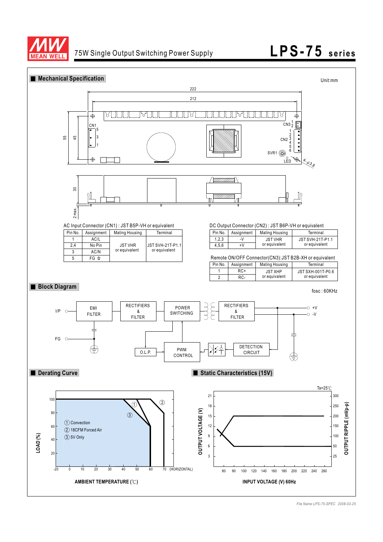

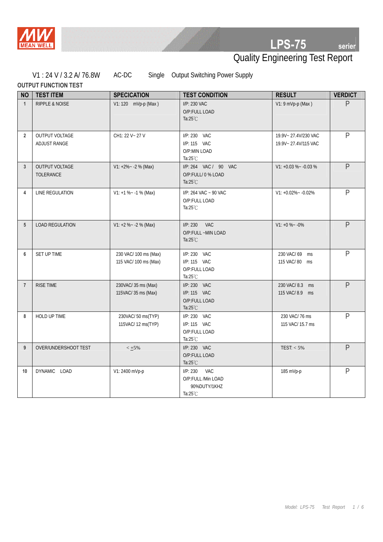

Γ

# **LPS-75 serier**

# Quality Engineering Test Report

V1 : 24 V / 3.2 A/ 76.8W AC-DC Single Output Switching Power Supply

|                | <b>OUTPUT FUNCTION TEST</b>               |                                                |                                                                     |                                            |                |  |  |  |
|----------------|-------------------------------------------|------------------------------------------------|---------------------------------------------------------------------|--------------------------------------------|----------------|--|--|--|
| <b>NO</b>      | <b>TEST ITEM</b>                          | <b>SPECICATION</b>                             | <b>TEST CONDITION</b>                                               | <b>RESULT</b>                              | <b>VERDICT</b> |  |  |  |
| $\mathbf{1}$   | <b>RIPPLE &amp; NOISE</b>                 | V1: 120 mVp-p (Max)                            | $I/P: 230$ VAC<br>O/P:FULL LOAD<br>Ta: $25^{\circ}$ C               | $V1: 9 mVp-p (Max)$                        | $\mathsf{P}$   |  |  |  |
| $\overline{2}$ | <b>OUTPUT VOLTAGE</b><br>ADJUST RANGE     | CH1: 22 V ~ 27 V                               | I/P: 230 VAC<br>I/P: 115 VAC<br>O/P:MIN LOAD<br>Ta: $25^{\circ}$ C  | 19.9V~27.4V/230 VAC<br>19.9V~27.4V/115 VAC | $\mathsf{P}$   |  |  |  |
| 3              | <b>OUTPUT VOLTAGE</b><br><b>TOLERANCE</b> | $V1: +2\% - -2\%$ (Max)                        | I/P: 264 VAC / 90 VAC<br>O/P:FULL/ 0 % LOAD<br>Ta: $25^{\circ}$ C   | $V1: +0.03 \% - 0.03 \%$                   | P              |  |  |  |
| 4              | LINE REGULATION                           | $V1: +1 \% ~ -1 \%$ (Max)                      | I/P: 264 VAC ~ 90 VAC<br>O/P:FULL LOAD<br>Ta: $25^{\circ}$ C        | $V1: +0.02\% - 0.02\%$                     | $\mathsf{P}$   |  |  |  |
| 5              | <b>LOAD REGULATION</b>                    | $V1: +2 \% ~ -2 \%$ (Max)                      | <b>VAC</b><br>I/P: 230<br>O/P:FULL ~MIN LOAD<br>Ta: $25^{\circ}$ C  | $V1: +0\% -0\%$                            | $\mathsf{P}$   |  |  |  |
| 6              | SET UP TIME                               | 230 VAC/ 100 ms (Max)<br>115 VAC/ 100 ms (Max) | I/P: 230 VAC<br>I/P: 115 VAC<br>O/P:FULL LOAD<br>Ta: $25^{\circ}$ C | 230 VAC/69 ms<br>115 VAC/80 ms             | $\mathsf{P}$   |  |  |  |
| $\overline{7}$ | RISE TIME                                 | 230VAC/35 ms (Max)<br>115VAC/35 ms (Max)       | I/P: 230 VAC<br>I/P: 115 VAC<br>O/P:FULL LOAD<br>Ta: $25^{\circ}$ C | 230 VAC/8.3 ms<br>115 VAC/8.9 ms           | $\overline{P}$ |  |  |  |
| 8              | HOLD UP TIME                              | 230VAC/50 ms(TYP)<br>115VAC/ 12 ms(TYP)        | I/P: 230 VAC<br>I/P: 115 VAC<br>O/P:FULL LOAD<br>Ta: $25^{\circ}$ C | 230 VAC/76 ms<br>115 VAC/ 15.7 ms          | $\mathsf{P}$   |  |  |  |
| 9              | OVER/UNDERSHOOT TEST                      | $< +5\%$                                       | I/P: 230 VAC<br>O/P:FULL LOAD<br>Ta: $25^{\circ}$ C                 | TEST: $<$ 5%                               | P              |  |  |  |
| 10             | DYNAMIC LOAD                              | V1: 2400 mVp-p                                 | I/P: 230<br><b>VAC</b><br>O/P:FULL /Min LOAD                        | 185 mVp-p                                  | $\mathsf{P}$   |  |  |  |

90%DUTY/1KHZ

Ta:25℃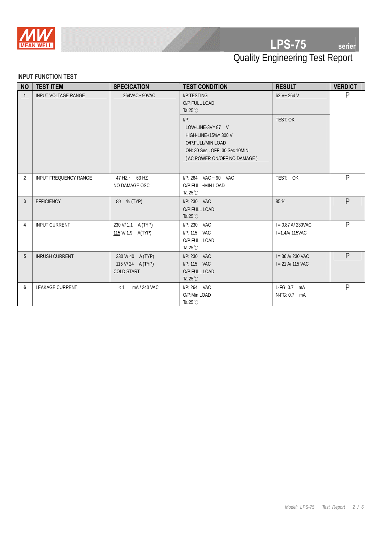

## Quality Engineering Test Report

#### **INPUT FUNCTION TEST**

| <b>NO</b>      | <b>TEST ITEM</b>           | <b>SPECICATION</b>                                        | <b>TEST CONDITION</b>                                                                                                                       | <b>RESULT</b>                              | <b>VERDICT</b> |
|----------------|----------------------------|-----------------------------------------------------------|---------------------------------------------------------------------------------------------------------------------------------------------|--------------------------------------------|----------------|
| $\mathbf{1}$   | <b>INPUT VOLTAGE RANGE</b> | 264VAC~90VAC                                              | I/P:TESTING<br>O/P:FULL LOAD<br>Ta: $25^{\circ}$ C                                                                                          | $62 V - 264 V$                             | P              |
|                |                            |                                                           | $I/P$ :<br>LOW-LINE-3V= $87$ V<br>HIGH-LINE+15%= 300 V<br>O/P:FULL/MIN LOAD<br>ON: 30 Sec. OFF: 30 Sec 10MIN<br>(AC POWER ON/OFF NO DAMAGE) | TEST: OK                                   |                |
| $\overline{2}$ | INPUT FREQUENCY RANGE      | $47$ HZ $- 63$ HZ<br>NO DAMAGE OSC                        | I/P: 264 VAC ~ 90 VAC<br>O/P:FULL~MIN LOAD<br>Ta: $25^{\circ}$ C                                                                            | TEST: OK                                   | $\mathsf{P}$   |
| $\mathbf{3}$   | <b>EFFICIENCY</b>          | 83 % (TYP)                                                | $I/P: 230$ VAC<br>O/P:FULL LOAD<br>Ta: $25^{\circ}$ C                                                                                       | 85 %                                       | P              |
| 4              | <b>INPUT CURRENT</b>       | 230 V/ 1.1 A (TYP)<br>115 V/ 1.9 A(TYP)                   | I/P: 230 VAC<br>I/P: 115 VAC<br>O/P:FULL LOAD<br>Ta: $25^{\circ}$ C                                                                         | $I = 0.87$ A/230VAC<br>$I = 1.4$ A/115VAC  | $\mathsf{P}$   |
| 5              | <b>INRUSH CURRENT</b>      | 230 V/40 A (TYP)<br>115 V/24 A (TYP)<br><b>COLD START</b> | $I/P: 230$ VAC<br>I/P: 115 VAC<br>O/P:FULL LOAD<br>Ta: $25^{\circ}$ C                                                                       | $I = 36$ A/ 230 VAC<br>$I = 21 A/ 115 VAC$ | P              |
| 6              | <b>LEAKAGE CURRENT</b>     | mA/240 VAC<br>< 1                                         | I/P: 264 VAC<br>O/P:Min LOAD<br>Ta: $25^{\circ}$ C                                                                                          | $L-FG: 0.7$ mA<br>N-FG: 0.7<br>mA          | $\mathsf{P}$   |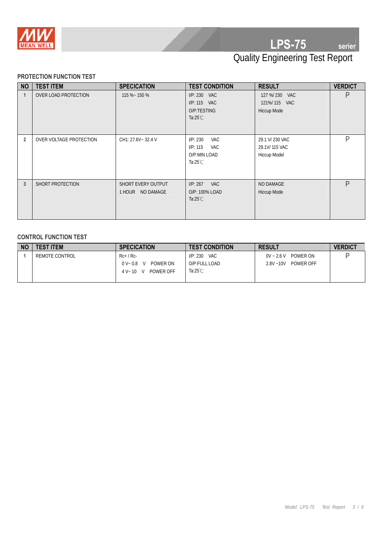

# Quality Engineering Test Report

#### **PROTECTION FUNCTION TEST**

| <b>NO</b>      | <b>TEST ITEM</b>        | <b>SPECICATION</b>                     | <b>TEST CONDITION</b>                                                           | <b>RESULT</b>                                    | <b>VERDICT</b> |
|----------------|-------------------------|----------------------------------------|---------------------------------------------------------------------------------|--------------------------------------------------|----------------|
| 1              | OVER LOAD PROTECTION    | 115 %~ 150 %                           | $I/P: 230$ VAC<br>I/P: 115 VAC<br>O/P:TESTING<br>Ta: $25^{\circ}$ C             | 127 %/ 230 VAC<br>121%/115 VAC<br>Hiccup Mode    | P              |
| $\overline{2}$ | OVER VOLTAGE PROTECTION | CH1: 27.6V~ 32.4 V                     | VAC<br>I/P: 230<br>I/P: 115<br><b>VAC</b><br>O/P:MIN LOAD<br>Ta: $25^{\circ}$ C | 29.1 V/ 230 VAC<br>29.1V/115 VAC<br>Hiccup Model | P              |
| $\mathbf{3}$   | SHORT PROTECTION        | SHORT EVERY OUTPUT<br>1 HOUR NO DAMAGE | <b>VAC</b><br>I/P: 267<br>O/P: 100% LOAD<br>Ta: $25^{\circ}$ C                  | NO DAMAGE<br>Hiccup Mode                         | D              |

#### **CONTROL FUNCTION TEST**

| <b>NO</b> | <b>TEST ITEM</b> | <b>SPECICATION</b>                            | <b>TEST CONDITION</b> | <b>RESULT</b>             | <b>VERDICT</b> |
|-----------|------------------|-----------------------------------------------|-----------------------|---------------------------|----------------|
|           | REMOTE CONTROL   | Rc+ / Rc-                                     | $I/P: 230$ VAC        | $0V - 2.6V$ POWER ON      |                |
|           |                  | POWER ON<br>$0$ V $\scriptstyle\sim$ 0.8<br>V | O/P:FULL LOAD         | POWER OFF<br>$2.8V - 10V$ |                |
|           |                  | POWER OFF<br>$4 V - 10 V$                     | Ta:25 $°C$            |                           |                |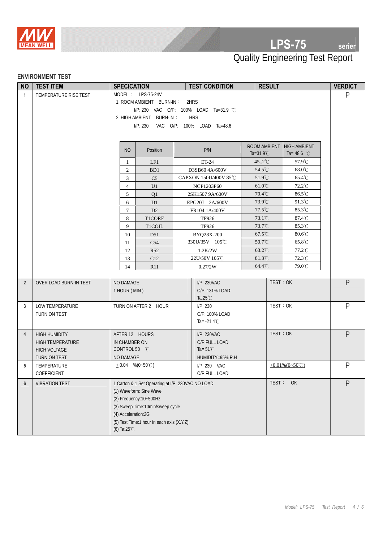

### **LPS-75 serier**

### Quality Engineering Test Report

#### **ENVIRONMENT TEST**

| <b>NO</b>      | <b>TEST ITEM</b>                               | <b>SPECICATION</b>             |                                                   |  | <b>TEST CONDITION</b>         | <b>RESULT</b>        |                                  | <b>VERDICT</b> |
|----------------|------------------------------------------------|--------------------------------|---------------------------------------------------|--|-------------------------------|----------------------|----------------------------------|----------------|
| $\mathbf{1}$   | TEMPERATURE RISE TEST                          |                                | MODEL: LPS-75-24V                                 |  |                               |                      |                                  | P              |
|                |                                                |                                | 1. ROOM AMBIENT BURN-IN:                          |  | 2HRS                          |                      |                                  |                |
|                |                                                |                                | I/P: 230 VAC O/P: 100% LOAD Ta=31.9 °C            |  |                               |                      |                                  |                |
|                |                                                |                                | 2. HIGH AMBIENT BURN-IN:<br><b>HRS</b>            |  |                               |                      |                                  |                |
|                |                                                |                                | IP: 230                                           |  | VAC O/P: 100% LOAD Ta=48.6    |                      |                                  |                |
|                |                                                |                                |                                                   |  |                               |                      |                                  |                |
|                |                                                |                                |                                                   |  |                               | ROOM AMBIENT         | <b>HIGH AMBIENT</b>              |                |
|                |                                                | N <sub>O</sub>                 | Position                                          |  | P/N                           | Ta= $31.9^{\circ}$ C | Ta= 48.6 $^{\circ}$ C            |                |
|                |                                                | 1                              | LF1                                               |  | ET-24                         | $45.2^{\circ}$ C     | 57.9°C                           |                |
|                |                                                | $\overline{2}$                 | B <sub>D1</sub>                                   |  | D3SB60 4A/600V                | 54.5°C               | 68.0°C                           |                |
|                |                                                | $\mathfrak{Z}$                 | C <sub>5</sub>                                    |  | CAPXON 150U/400V 85℃          | 51.9°C               | 65.4°C                           |                |
|                |                                                | $\overline{4}$                 | U1                                                |  | NCP1203P60                    | 61.0°C               | 72.2°C                           |                |
|                |                                                | 5                              | Q1                                                |  | 2SK1507 9A/600V               | 70.4°C               | 86.5°C                           |                |
|                |                                                | 6                              | D1                                                |  | EPG20J 2A/600V                | 73.9°C               | 91.3°C                           |                |
|                |                                                | $\tau$                         | D <sub>2</sub>                                    |  | FR104 1A/400V                 | 77.5°C               | 85.3°C                           |                |
|                |                                                | 8                              | T1CORE                                            |  | <b>TF926</b>                  | $73.1^{\circ}$ C     | 87.4°C                           |                |
|                |                                                | 9                              | <b>T1COIL</b>                                     |  | <b>TF926</b>                  | $73.7^{\circ}$ C     | 85.3°C                           |                |
|                |                                                | 10                             | D <sub>51</sub>                                   |  | BYQ28X-200                    | 67.5°C               | 80.6°C                           |                |
|                |                                                | 11                             | C54                                               |  | 330U/35V 105℃                 | $50.7^{\circ}$ C     | 65.8°C                           |                |
|                |                                                | 12                             | R52                                               |  | 1.2K/2W                       | $63.2^{\circ}$ C     | 77.2°C                           |                |
|                |                                                | 13                             | C12                                               |  | 22U/50V 105℃                  | $81.3^{\circ}$ C     | 72.3°C                           |                |
|                |                                                | 14                             | R11                                               |  | 0.27/2W                       | 64.4°C               | 79.0°C                           |                |
|                |                                                |                                |                                                   |  |                               |                      | TEST: OK                         | $\mathsf{P}$   |
| $\overline{2}$ | OVER LOAD BURN-IN TEST                         | NO DAMAGE<br>1 HOUR (MIN)      |                                                   |  | I/P: 230VAC<br>O/P: 131% LOAD |                      |                                  |                |
|                |                                                |                                |                                                   |  | Ta: $25^{\circ}$ C            |                      |                                  |                |
| 3              | LOW TEMPERATURE                                |                                | TURN ON AFTER 2 HOUR                              |  | IP: 230                       |                      | TEST: OK                         | P              |
|                | TURN ON TEST                                   |                                |                                                   |  | O/P: 100% LOAD                |                      |                                  |                |
|                |                                                |                                |                                                   |  | Ta= $-21.4^{\circ}$ C         |                      |                                  |                |
|                |                                                |                                |                                                   |  |                               |                      | TEST: OK                         | $\mathsf{P}$   |
| $\overline{4}$ | <b>HIGH HUMIDITY</b>                           | AFTER 12 HOURS                 |                                                   |  | I/P: 230VAC<br>O/P:FULL LOAD  |                      |                                  |                |
|                | <b>HIGH TEMPERATURE</b><br><b>HIGH VOLTAGE</b> | IN CHAMBER ON<br>CONTROL 50 °C |                                                   |  | Ta= $51^{\circ}$ C            |                      |                                  |                |
|                | TURN ON TEST                                   | NO DAMAGE                      |                                                   |  | HUMIDITY=95% R.H              |                      |                                  |                |
| 5              | TEMPERATURE                                    |                                | $\pm 0.04$ %(0~50°C)                              |  | I/P: 230 VAC                  |                      | + $0.01\%$ (0~50 <sup>°</sup> C) | P              |
|                | COEFFICIENT                                    |                                |                                                   |  | O/P:FULL LOAD                 |                      |                                  |                |
| $6\phantom{1}$ | <b>VIBRATION TEST</b>                          |                                | 1 Carton & 1 Set Operating at I/P: 230VAC NO LOAD |  |                               |                      | TEST:<br>OK                      | P              |
|                |                                                |                                | (1) Waveform: Sine Wave                           |  |                               |                      |                                  |                |
|                |                                                |                                | (2) Frequency: 10~500Hz                           |  |                               |                      |                                  |                |
|                |                                                |                                | (3) Sweep Time: 10min/sweep cycle                 |  |                               |                      |                                  |                |
|                |                                                | (4) Acceleration:2G            |                                                   |  |                               |                      |                                  |                |
|                |                                                |                                | (5) Test Time:1 hour in each axis (X.Y.Z)         |  |                               |                      |                                  |                |
|                |                                                | (6) Ta: $25^{\circ}$ C         |                                                   |  |                               |                      |                                  |                |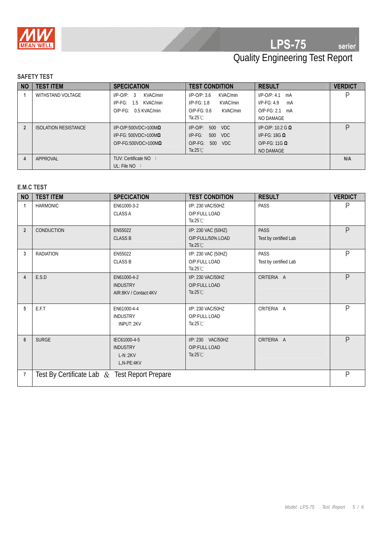

## **LPS-75 serier**

## Quality Engineering Test Report

### **SAFETY TEST**

| <b>NO</b> | <b>TEST ITEM</b>            | <b>SPECICATION</b>              | <b>TEST CONDITION</b>                | <b>RESULT</b>               | <b>VERDICT</b> |
|-----------|-----------------------------|---------------------------------|--------------------------------------|-----------------------------|----------------|
|           | WITHSTAND VOLTAGE           | KVAC/min<br>$I/P$ -O/P: 3       | KVAC/min<br>$I/P$ -O/P: 3.6          | $I/P$ -O/P: 4.1 mA          |                |
|           |                             | KVAC/min<br>$I/P-FG$ :<br>1.5   | $I/P-FG: 1.8$<br>KVAC/min            | $I/P-FG: 4.9$<br>mA         |                |
|           |                             | $O/P-FG$ : $0.5$ KVAC/min       | KVAC/min<br>$O/P-FG: 0.6$            | $O/P-FG: 2.1$<br>mA         |                |
|           |                             |                                 | Ta: $25^{\circ}$ C                   | NO DAMAGE                   |                |
|           | <b>ISOLATION RESISTANCE</b> | $I/P$ -O/P:500VDC>100M $\Omega$ | $I/P$ - $O/P$ :<br><b>VDC</b><br>500 | $I/P$ -O/P: 10.2 G <b>Q</b> |                |
|           |                             | $I/P-FG: 500VDC > 100M\Omega$   | <b>VDC</b><br>$I/P-FG$ :<br>500      | I/P-FG: 18G $\Omega$        |                |
|           |                             | $O/P-FG:500VDC>100M\Omega$      | $O/P-FG$ :<br>VDC<br>500             | $O/P-FG: 11G \Omega$        |                |
|           |                             |                                 | Ta:25 $°C$                           | <b>NO DAMAGE</b>            |                |
| 4         | APPROVAL                    | TUV: Certificate NO :           |                                      |                             | N/A            |
|           |                             | UL: File $NO$ :                 |                                      |                             |                |

#### **E.M.C TEST**

| <b>NO</b>      | <b>TEST ITEM</b>                              | <b>SPECICATION</b>                                         | <b>TEST CONDITION</b>                                          | <b>RESULT</b>                        | <b>VERDICT</b> |
|----------------|-----------------------------------------------|------------------------------------------------------------|----------------------------------------------------------------|--------------------------------------|----------------|
| 1              | <b>HARMONIC</b>                               | EN61000-3-2<br><b>CLASS A</b>                              | I/P: 230 VAC/50HZ<br>O/P:FULL LOAD<br>Ta: $25^{\circ}$ C       | PASS                                 | P              |
| $\overline{2}$ | CONDUCTION                                    | EN55022<br><b>CLASS B</b>                                  | I/P: 230 VAC (50HZ)<br>O/P:FULL/50% LOAD<br>Ta: $25^{\circ}$ C | <b>PASS</b><br>Test by certified Lab | $\mathsf{P}$   |
| 3              | <b>RADIATION</b>                              | EN55022<br><b>CLASS B</b>                                  | I/P: 230 VAC (50HZ)<br>O/P:FULL LOAD<br>Ta: $25^{\circ}$ C     | <b>PASS</b><br>Test by certified Lab | $\mathsf{P}$   |
| $\overline{4}$ | E.S.D                                         | EN61000-4-2<br><b>INDUSTRY</b><br>AIR:8KV / Contact:4KV    | I/P: 230 VAC/50HZ<br>O/P:FULL LOAD<br>Ta: $25^{\circ}$ C       | CRITERIA A                           | $\mathsf{P}$   |
| 5              | E.F.T                                         | EN61000-4-4<br><b>INDUSTRY</b><br><b>INPUT: 2KV</b>        | I/P: 230 VAC/50HZ<br>O/P:FULL LOAD<br>Ta: $25^{\circ}$ C       | CRITERIA A                           | $\mathsf{P}$   |
| 6              | <b>SURGE</b>                                  | IEC61000-4-5<br><b>INDUSTRY</b><br>$L-N:2KV$<br>L,N-PE:4KV | I/P: 230 VAC/50HZ<br>O/P:FULL LOAD<br>Ta: $25^{\circ}$ C       | CRITERIA A                           | $\mathsf{P}$   |
| $\overline{7}$ | Test By Certificate Lab & Test Report Prepare |                                                            |                                                                |                                      | $\mathsf{P}$   |